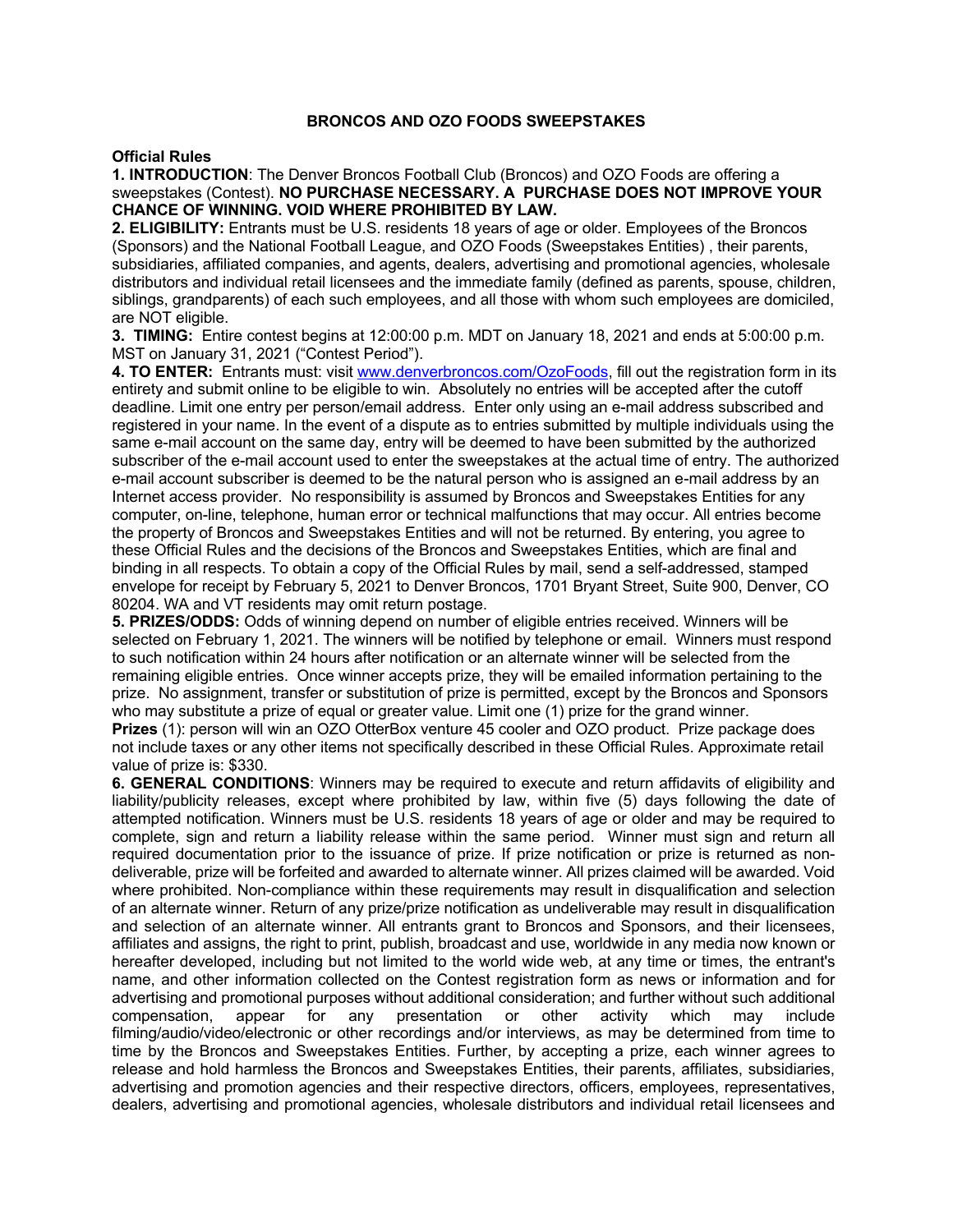## **BRONCOS AND OZO FOODS SWEEPSTAKES**

## **Official Rules**

## **1. INTRODUCTION**: The Denver Broncos Football Club (Broncos) and OZO Foods are offering a sweepstakes (Contest). **NO PURCHASE NECESSARY. A PURCHASE DOES NOT IMPROVE YOUR CHANCE OF WINNING. VOID WHERE PROHIBITED BY LAW.**

**2. ELIGIBILITY:** Entrants must be U.S. residents 18 years of age or older. Employees of the Broncos (Sponsors) and the National Football League, and OZO Foods (Sweepstakes Entities) , their parents, subsidiaries, affiliated companies, and agents, dealers, advertising and promotional agencies, wholesale distributors and individual retail licensees and the immediate family (defined as parents, spouse, children, siblings, grandparents) of each such employees, and all those with whom such employees are domiciled, are NOT eligible.

**3. TIMING:** Entire contest begins at 12:00:00 p.m. MDT on January 18, 2021 and ends at 5:00:00 p.m. MST on January 31, 2021 ("Contest Period").

**4. TO ENTER:** Entrants must: visit www.denverbroncos.com/OzoFoods, fill out the registration form in its entirety and submit online to be eligible to win. Absolutely no entries will be accepted after the cutoff deadline. Limit one entry per person/email address. Enter only using an e-mail address subscribed and registered in your name. In the event of a dispute as to entries submitted by multiple individuals using the same e-mail account on the same day, entry will be deemed to have been submitted by the authorized subscriber of the e-mail account used to enter the sweepstakes at the actual time of entry. The authorized e-mail account subscriber is deemed to be the natural person who is assigned an e-mail address by an Internet access provider. No responsibility is assumed by Broncos and Sweepstakes Entities for any computer, on-line, telephone, human error or technical malfunctions that may occur. All entries become the property of Broncos and Sweepstakes Entities and will not be returned. By entering, you agree to these Official Rules and the decisions of the Broncos and Sweepstakes Entities, which are final and binding in all respects. To obtain a copy of the Official Rules by mail, send a self-addressed, stamped envelope for receipt by February 5, 2021 to Denver Broncos, 1701 Bryant Street, Suite 900, Denver, CO 80204. WA and VT residents may omit return postage.

**5. PRIZES/ODDS:** Odds of winning depend on number of eligible entries received. Winners will be selected on February 1, 2021. The winners will be notified by telephone or email. Winners must respond to such notification within 24 hours after notification or an alternate winner will be selected from the remaining eligible entries. Once winner accepts prize, they will be emailed information pertaining to the prize. No assignment, transfer or substitution of prize is permitted, except by the Broncos and Sponsors who may substitute a prize of equal or greater value. Limit one (1) prize for the grand winner.

**Prizes** (1): person will win an OZO OtterBox venture 45 cooler and OZO product. Prize package does not include taxes or any other items not specifically described in these Official Rules. Approximate retail value of prize is: \$330.

**6. GENERAL CONDITIONS**: Winners may be required to execute and return affidavits of eligibility and liability/publicity releases, except where prohibited by law, within five (5) days following the date of attempted notification. Winners must be U.S. residents 18 years of age or older and may be required to complete, sign and return a liability release within the same period. Winner must sign and return all required documentation prior to the issuance of prize. If prize notification or prize is returned as nondeliverable, prize will be forfeited and awarded to alternate winner. All prizes claimed will be awarded. Void where prohibited. Non-compliance within these requirements may result in disqualification and selection of an alternate winner. Return of any prize/prize notification as undeliverable may result in disqualification and selection of an alternate winner. All entrants grant to Broncos and Sponsors, and their licensees, affiliates and assigns, the right to print, publish, broadcast and use, worldwide in any media now known or hereafter developed, including but not limited to the world wide web, at any time or times, the entrant's name, and other information collected on the Contest registration form as news or information and for advertising and promotional purposes without additional consideration; and further without such additional compensation, appear for any presentation or other activity which may include filming/audio/video/electronic or other recordings and/or interviews, as may be determined from time to time by the Broncos and Sweepstakes Entities. Further, by accepting a prize, each winner agrees to release and hold harmless the Broncos and Sweepstakes Entities, their parents, affiliates, subsidiaries, advertising and promotion agencies and their respective directors, officers, employees, representatives, dealers, advertising and promotional agencies, wholesale distributors and individual retail licensees and